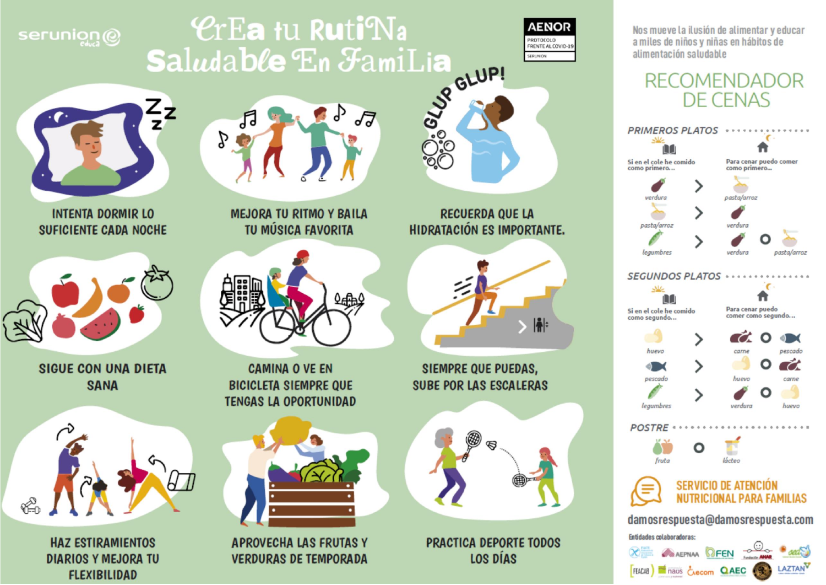# serunion@

# **CrEa tu RutiNa** SIDDR GLUPI Saludable En FamiLia



Nos mueve la ilusión de alimentar y educar a miles de niños y niñas en hábitos de alimentación saludable

## **RECOMENDADOR** DE CENAS





**INTENTA DORMIR LO SUFICIENTE CADA NOCHE** 



**SIGUE CON UNA DIETA SANA** 



**HAZ ESTIRAMIENTOS DIARIOS Y MEJORA TU FLEXIBILIDAD** 



**MEJORA TU RITMO Y BAILA TU MÚSICA FAVORITA** 



**CAMINA O VE EN BICICLETA SIEMPRE QUE TENGAS LA OPORTUNIDAD** 



**APROVECHA LAS FRUTAS Y VERDURAS DE TEMPORADA** 

**RECUERDA QUE LA HIDRATACIÓN ES IMPORTANTE.** 



## **SIEMPRE QUE PUEDAS, SUBE POR LAS ESCALERAS**



PRACTICA DEPORTE TODOS **LOS DÍAS**